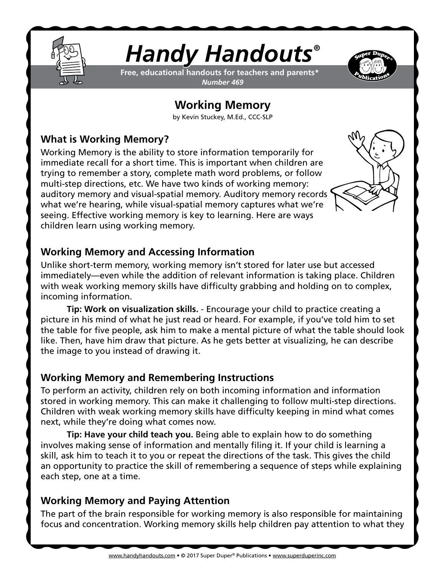

# *Handy Handouts®*

**Free, educational handouts for teachers and parents\*** *Number 469*



## **Working Memory**

by Kevin Stuckey, M.Ed., CCC-SLP

#### **What is Working Memory?**

Working Memory is the ability to store information temporarily for immediate recall for a short time. This is important when children are trying to remember a story, complete math word problems, or follow multi-step directions, etc. We have two kinds of working memory: auditory memory and visual-spatial memory. Auditory memory records what we're hearing, while visual-spatial memory captures what we're seeing. Effective working memory is key to learning. Here are ways children learn using working memory.



#### **Working Memory and Accessing Information**

Unlike short-term memory, working memory isn't stored for later use but accessed immediately—even while the addition of relevant information is taking place. Children with weak working memory skills have difficulty grabbing and holding on to complex, incoming information.

**Tip: Work on visualization skills.** - Encourage your child to practice creating a picture in his mind of what he just read or heard. For example, if you've told him to set the table for five people, ask him to make a mental picture of what the table should look like. Then, have him draw that picture. As he gets better at visualizing, he can describe the image to you instead of drawing it.

#### **Working Memory and Remembering Instructions**

To perform an activity, children rely on both incoming information and information stored in working memory. This can make it challenging to follow multi-step directions. Children with weak working memory skills have difficulty keeping in mind what comes next, while they're doing what comes now.

**Tip: Have your child teach you.** Being able to explain how to do something involves making sense of information and mentally filing it. If your child is learning a skill, ask him to teach it to you or repeat the directions of the task. This gives the child an opportunity to practice the skill of remembering a sequence of steps while explaining each step, one at a time.

### **Working Memory and Paying Attention**

The part of the brain responsible for working memory is also responsible for maintaining focus and concentration. Working memory skills help children pay attention to what they